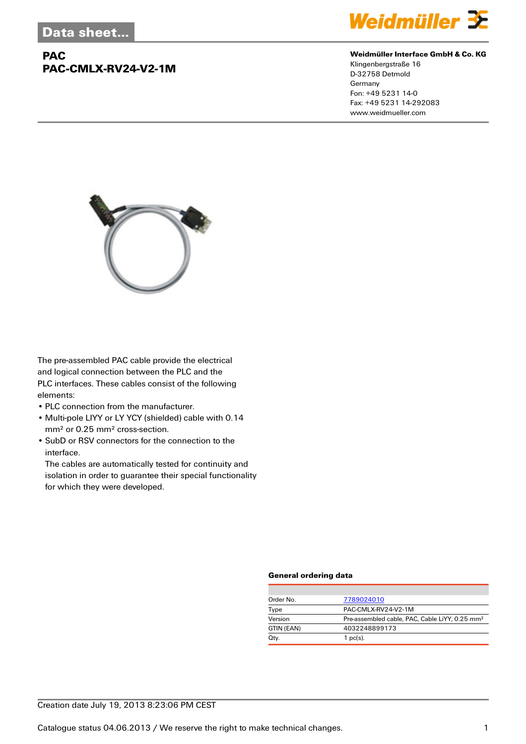## **PAC PAC-CMLX-RV24-V2-1M**



### **Weidmüller Interface GmbH & Co. KG**

Klingenbergstraße 16 D-32758 Detmold Germany Fon: +49 5231 14-0 Fax: +49 5231 14-292083 www.weidmueller.com



The pre-assembled PAC cable provide the electrical and logical connection between the PLC and the PLC interfaces. These cables consist of the following elements:

- PLC connection from the manufacturer.
- Multi-pole LIYY or LY YCY (shielded) cable with 0.14 mm² or 0.25 mm² cross-section.
- SubD or RSV connectors for the connection to the interface.

The cables are automatically tested for continuity and isolation in order to guarantee their special functionality for which they were developed.

### **General ordering data**

| Order No.  | 7789024010                                                 |
|------------|------------------------------------------------------------|
| Type       | PAC-CMLX-RV24-V2-1M                                        |
| Version    | Pre-assembled cable, PAC, Cable LiYY, 0.25 mm <sup>2</sup> |
| GTIN (EAN) | 4032248899173                                              |
| Qty.       | $1$ pc(s).                                                 |